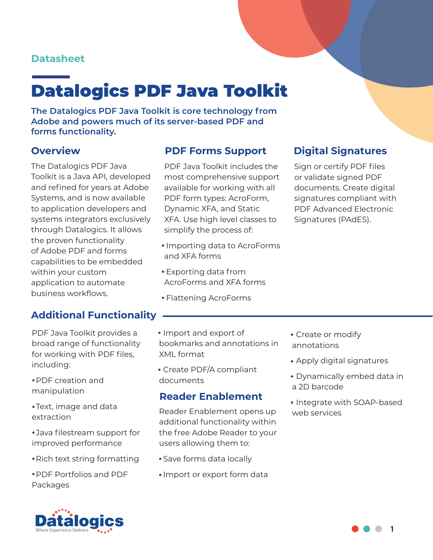### **Datasheet**

# Datalogics PDF Java Toolkit

**The Datalogics PDF Java Toolkit is core technology from Adobe and powers much of its server-based PDF and forms functionality.**

The Datalogics PDF Java Toolkit is a Java API, developed and refined for years at Adobe Systems, and is now available to application developers and systems integrators exclusively through Datalogics. It allows the proven functionality of Adobe PDF and forms capabilities to be embedded within your custom application to automate business workflows.

### **Overview PDF Forms Support Digital Signatures**

PDF Java Toolkit includes the most comprehensive support available for working with all PDF form types: AcroForm, Dynamic XFA, and Static XFA. Use high level classes to simplify the process of:

- Importing data to AcroForms and XFA forms
- Exporting data from AcroForms and XFA forms
- Flattening AcroForms

Sign or certify PDF files or validate signed PDF documents. Create digital signatures compliant with PDF Advanced Electronic Signatures (PAdES).

### **Additional Functionality**

PDF Java Toolkit provides a broad range of functionality for working with PDF files, including:

- PDF creation and manipulation
- Text, image and data extraction
- Java filestream support for improved performance
- Rich text string formatting
- PDF Portfolios and PDF Packages
- Import and export of bookmarks and annotations in XML format
- Create PDF/A compliant documents

### **Reader Enablement**

Reader Enablement opens up additional functionality within the free Adobe Reader to your users allowing them to:

- Save forms data locally
- Import or export form data
- Create or modify annotations
- Apply digital signatures
- Dynamically embed data in a 2D barcode
- Integrate with SOAP-based web services



**1**